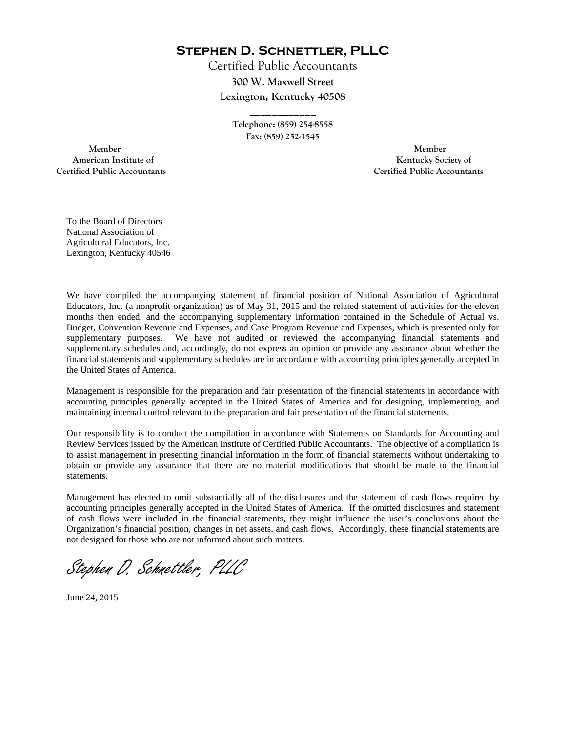**Stephen D. Schnettler, PLLC**

Certified Public Accountants **300 W. Maxwell Street Lexington, Kentucky 40508** 

> **Telephone: (859) 254-8558 Fax: (859) 252-1545**

**\_\_\_\_\_\_\_\_\_\_\_\_** 

 **Member Member Certified Public Accountants Certified Public Accountants** 

American Institute of **Kentucky Society of American Institute of** 

To the Board of Directors National Association of Agricultural Educators, Inc. Lexington, Kentucky 40546

We have compiled the accompanying statement of financial position of National Association of Agricultural Educators, Inc. (a nonprofit organization) as of May 31, 2015 and the related statement of activities for the eleven months then ended, and the accompanying supplementary information contained in the Schedule of Actual vs. Budget, Convention Revenue and Expenses, and Case Program Revenue and Expenses, which is presented only for supplementary purposes. We have not audited or reviewed the accompanying financial statements and supplementary schedules and, accordingly, do not express an opinion or provide any assurance about whether the financial statements and supplementary schedules are in accordance with accounting principles generally accepted in the United States of America.

Management is responsible for the preparation and fair presentation of the financial statements in accordance with accounting principles generally accepted in the United States of America and for designing, implementing, and maintaining internal control relevant to the preparation and fair presentation of the financial statements.

Our responsibility is to conduct the compilation in accordance with Statements on Standards for Accounting and Review Services issued by the American Institute of Certified Public Accountants. The objective of a compilation is to assist management in presenting financial information in the form of financial statements without undertaking to obtain or provide any assurance that there are no material modifications that should be made to the financial statements.

Management has elected to omit substantially all of the disclosures and the statement of cash flows required by accounting principles generally accepted in the United States of America. If the omitted disclosures and statement of cash flows were included in the financial statements, they might influence the user's conclusions about the Organization's financial position, changes in net assets, and cash flows. Accordingly, these financial statements are not designed for those who are not informed about such matters.

Stephen D. Schnettler, PLLC

June 24, 2015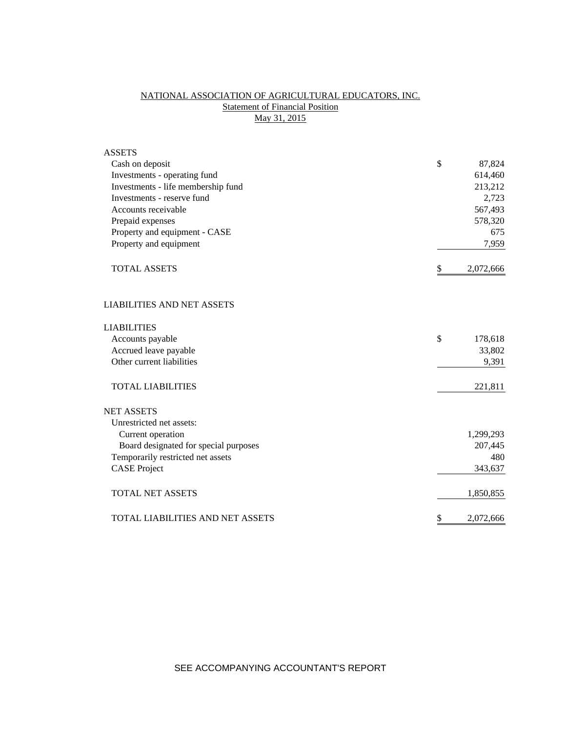# NATIONAL ASSOCIATION OF AGRICULTURAL EDUCATORS, INC. **Statement of Financial Position** May 31, 2015

| <b>ASSETS</b>                           |                 |
|-----------------------------------------|-----------------|
| Cash on deposit                         | \$<br>87,824    |
| Investments - operating fund            | 614,460         |
| Investments - life membership fund      | 213,212         |
| Investments - reserve fund              | 2,723           |
| Accounts receivable                     | 567,493         |
| Prepaid expenses                        | 578,320         |
| Property and equipment - CASE           | 675             |
| Property and equipment                  | 7,959           |
| <b>TOTAL ASSETS</b>                     | \$<br>2,072,666 |
| <b>LIABILITIES AND NET ASSETS</b>       |                 |
| <b>LIABILITIES</b>                      |                 |
| Accounts payable                        | \$<br>178,618   |
| Accrued leave payable                   | 33,802          |
| Other current liabilities               | 9,391           |
| <b>TOTAL LIABILITIES</b>                | 221,811         |
| <b>NET ASSETS</b>                       |                 |
| Unrestricted net assets:                |                 |
| Current operation                       | 1,299,293       |
| Board designated for special purposes   | 207,445         |
| Temporarily restricted net assets       | 480             |
| <b>CASE Project</b>                     | 343,637         |
| <b>TOTAL NET ASSETS</b>                 | 1,850,855       |
| <b>TOTAL LIABILITIES AND NET ASSETS</b> | \$<br>2,072,666 |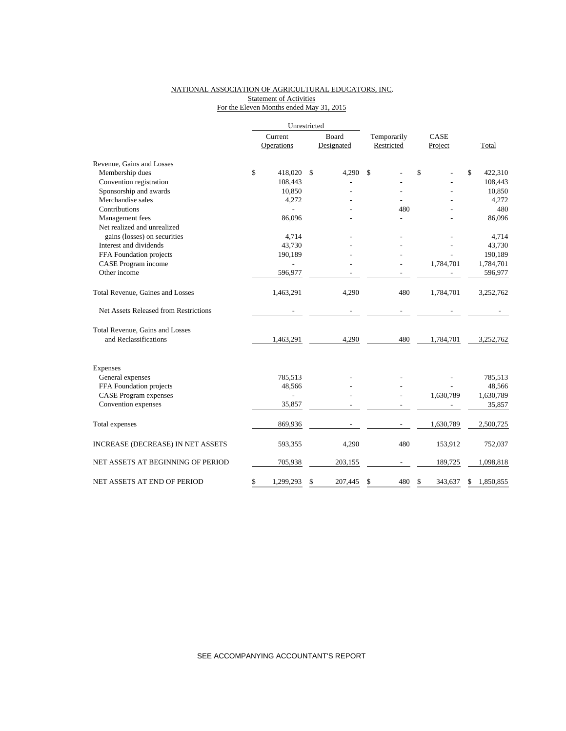### NATIONAL ASSOCIATION OF AGRICULTURAL EDUCATORS, INC. Statement of Activities For the Eleven Months ended May 31, 2015

|                                       |         | Unrestricted |       |            |             |    |           |                 |
|---------------------------------------|---------|--------------|-------|------------|-------------|----|-----------|-----------------|
|                                       | Current |              | Board |            | Temporarily |    | CASE      |                 |
|                                       |         | Operations   |       | Designated | Restricted  |    | Project   | Total           |
| Revenue, Gains and Losses             |         |              |       |            |             |    |           |                 |
| Membership dues                       | \$      | 418,020      | \$    | 4,290      | \$          | \$ |           | \$<br>422,310   |
| Convention registration               |         | 108,443      |       |            |             |    |           | 108,443         |
| Sponsorship and awards                |         | 10,850       |       |            |             |    |           | 10,850          |
| Merchandise sales                     |         | 4,272        |       |            |             |    |           | 4,272           |
| Contributions                         |         |              |       |            | 480         |    |           | 480             |
| Management fees                       |         | 86,096       |       |            |             |    |           | 86,096          |
| Net realized and unrealized           |         |              |       |            |             |    |           |                 |
| gains (losses) on securities          |         | 4,714        |       |            |             |    |           | 4,714           |
| Interest and dividends                |         | 43,730       |       |            |             |    |           | 43,730          |
| FFA Foundation projects               |         | 190,189      |       |            |             |    |           | 190,189         |
| CASE Program income                   |         |              |       |            |             |    | 1,784,701 | 1,784,701       |
| Other income                          |         | 596,977      |       |            |             |    |           | 596,977         |
| Total Revenue, Gaines and Losses      |         | 1,463,291    |       | 4,290      | 480         |    | 1,784,701 | 3,252,762       |
| Net Assets Released from Restrictions |         |              |       |            |             |    |           |                 |
| Total Revenue, Gains and Losses       |         |              |       |            |             |    |           |                 |
| and Reclassifications                 |         | 1,463,291    |       | 4,290      | 480         |    | 1,784,701 | 3,252,762       |
| Expenses                              |         |              |       |            |             |    |           |                 |
| General expenses                      |         | 785,513      |       |            |             |    |           | 785,513         |
| FFA Foundation projects               |         | 48,566       |       |            |             |    |           | 48,566          |
| <b>CASE</b> Program expenses          |         | L,           |       |            |             |    | 1,630,789 | 1,630,789       |
| Convention expenses                   |         | 35,857       |       |            |             |    |           | 35,857          |
| Total expenses                        |         | 869,936      |       |            |             |    | 1,630,789 | 2,500,725       |
| INCREASE (DECREASE) IN NET ASSETS     |         | 593,355      |       | 4,290      | 480         |    | 153,912   | 752,037         |
| NET ASSETS AT BEGINNING OF PERIOD     |         | 705,938      |       | 203,155    |             |    | 189,725   | 1,098,818       |
| NET ASSETS AT END OF PERIOD           | \$      | 1,299,293    | \$    | 207,445    | \$<br>480   | \$ | 343,637   | \$<br>1,850,855 |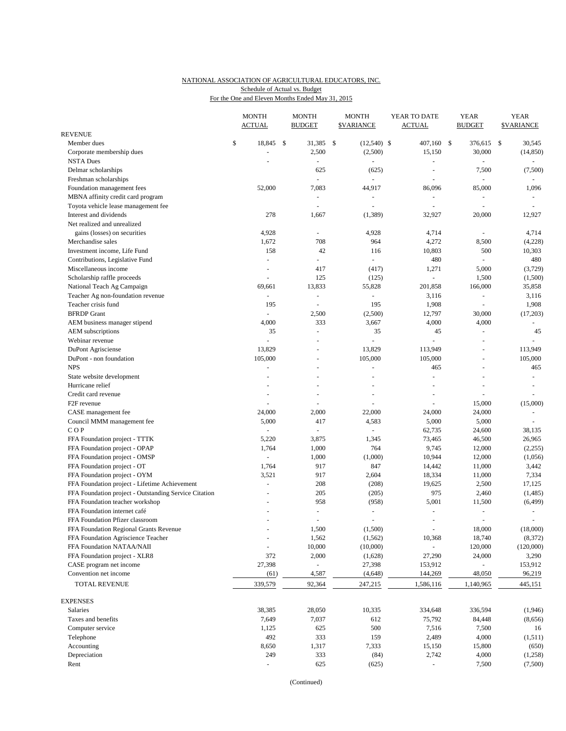#### NATIONAL ASSOCIATION OF AGRICULTURAL EDUCATORS, INC. For the One and Eleven Months Ended May 31, 2015 Schedule of Actual vs. Budget

|                                                                 |    | <b>MONTH</b><br><b>ACTUAL</b> |      | <b>MONTH</b><br><b>BUDGET</b>   |              | <b>MONTH</b><br><b>\$VARIANCE</b> | YEAR TO DATE<br><b>ACTUAL</b> |          | <b>YEAR</b><br><b>BUDGET</b> |                | <b>YEAR</b><br><b>SVARIANCE</b> |                    |
|-----------------------------------------------------------------|----|-------------------------------|------|---------------------------------|--------------|-----------------------------------|-------------------------------|----------|------------------------------|----------------|---------------------------------|--------------------|
| <b>REVENUE</b>                                                  |    |                               |      |                                 |              |                                   |                               |          |                              |                |                                 |                    |
| Member dues                                                     | \$ | 18,845                        | - \$ | 31,385                          | $\mathbb{S}$ | $(12,540)$ \$                     |                               | 407,160  | -S                           | 376,615 \$     |                                 | 30,545             |
| Corporate membership dues                                       |    |                               |      | 2,500                           |              | (2,500)                           |                               | 15,150   |                              | 30,000         |                                 | (14, 850)          |
| <b>NSTA Dues</b>                                                |    |                               |      |                                 |              |                                   |                               |          |                              |                |                                 |                    |
| Delmar scholarships                                             |    |                               |      | 625                             |              | (625)                             |                               |          |                              | 7,500          |                                 | (7,500)            |
| Freshman scholarships                                           |    |                               |      | $\overline{\phantom{a}}$        |              | ÷,                                |                               | $\sim$   |                              | ÷,             |                                 | $\equiv$           |
| Foundation management fees                                      |    | 52,000                        |      | 7,083                           |              | 44,917                            |                               | 86,096   |                              | 85,000         |                                 | 1,096              |
| MBNA affinity credit card program                               |    |                               |      | $\sim$                          |              | L.                                |                               | $\sim$   |                              | $\blacksquare$ |                                 | $\sim$             |
| Toyota vehicle lease management fee                             |    |                               |      | ÷,                              |              | L,                                |                               |          |                              | ä,             |                                 |                    |
| Interest and dividends                                          |    | 278                           |      | 1,667                           |              | (1,389)                           |                               | 32,927   |                              | 20,000         |                                 | 12,927             |
| Net realized and unrealized                                     |    | 4,928                         |      |                                 |              | 4,928                             |                               | 4,714    |                              |                |                                 | 4,714              |
| gains (losses) on securities<br>Merchandise sales               |    | 1,672                         |      | 708                             |              | 964                               |                               | 4,272    |                              | 8,500          |                                 | (4,228)            |
| Investment income, Life Fund                                    |    | 158                           |      | 42                              |              | 116                               |                               | 10,803   |                              | 500            |                                 | 10,303             |
| Contributions, Legislative Fund                                 |    | $\overline{\phantom{a}}$      |      | $\sim$                          |              | $\blacksquare$                    |                               | 480      |                              | $\blacksquare$ |                                 | 480                |
| Miscellaneous income                                            |    | ÷,                            |      | 417                             |              | (417)                             |                               | 1,271    |                              | 5,000          |                                 | (3,729)            |
| Scholarship raffle proceeds                                     |    | $\overline{\phantom{a}}$      |      | 125                             |              | (125)                             |                               | $\omega$ |                              | 1,500          |                                 | (1,500)            |
| National Teach Ag Campaign                                      |    | 69,661                        |      | 13,833                          |              | 55,828                            |                               | 201,858  |                              | 166,000        |                                 | 35,858             |
| Teacher Ag non-foundation revenue                               |    | $\bar{\phantom{a}}$           |      | $\omega$                        |              | L,                                |                               | 3,116    |                              | ÷,             |                                 | 3,116              |
| Teacher crisis fund                                             |    | 195                           |      |                                 |              | 195                               |                               | 1,908    |                              | ä,             |                                 | 1,908              |
| <b>BFRDP</b> Grant                                              |    | $\bar{\phantom{a}}$           |      | 2,500                           |              | (2,500)                           |                               | 12,797   |                              | 30,000         |                                 | (17, 203)          |
| AEM business manager stipend                                    |    | 4,000                         |      | 333                             |              | 3,667                             |                               | 4,000    |                              | 4,000          |                                 | $\omega$           |
| AEM subscriptions                                               |    | 35                            |      | $\overline{a}$                  |              | 35                                |                               | 45       |                              | $\blacksquare$ |                                 | 45                 |
| Webinar revenue                                                 |    | L.                            |      |                                 |              | $\overline{a}$                    |                               |          |                              | ä,             |                                 |                    |
| DuPont Agrisciense                                              |    | 13,829                        |      |                                 |              | 13,829                            |                               | 113,949  |                              | $\blacksquare$ |                                 | 113,949            |
| DuPont - non foundation                                         |    | 105,000                       |      |                                 |              | 105,000                           |                               | 105,000  |                              |                |                                 | 105,000            |
| <b>NPS</b>                                                      |    | $\sim$                        |      | $\overline{a}$                  |              | $\overline{a}$                    |                               | 465      |                              | $\blacksquare$ |                                 | 465                |
| State website development                                       |    |                               |      |                                 |              |                                   |                               |          |                              |                |                                 |                    |
| Hurricane relief                                                |    |                               |      |                                 |              | $\overline{a}$                    |                               |          |                              | $\overline{a}$ |                                 |                    |
| Credit card revenue                                             |    |                               |      |                                 |              | L,                                |                               |          |                              |                |                                 |                    |
| F <sub>2F</sub> revenue                                         |    |                               |      |                                 |              |                                   |                               |          |                              | 15,000         |                                 | (15,000)           |
| CASE management fee                                             |    | 24,000                        |      | 2,000                           |              | 22,000                            |                               | 24,000   |                              | 24,000         |                                 |                    |
| Council MMM management fee                                      |    | 5,000                         |      | 417                             |              | 4,583                             |                               | 5,000    |                              | 5,000          |                                 |                    |
| COP                                                             |    |                               |      |                                 |              |                                   |                               | 62,735   |                              | 24,600         |                                 | 38,135             |
| FFA Foundation project - TTTK                                   |    | 5,220                         |      | 3,875                           |              | 1,345                             |                               | 73,465   |                              | 46,500         |                                 | 26,965             |
| FFA Foundation project - OPAP                                   |    | 1,764                         |      | 1,000                           |              | 764                               |                               | 9,745    |                              | 12,000         |                                 | (2,255)            |
| FFA Foundation project - OMSP                                   |    | $\sim$                        |      | 1,000                           |              | (1,000)                           |                               | 10,944   |                              | 12,000         |                                 | (1,056)            |
| FFA Foundation project - OT                                     |    | 1,764                         |      | 917                             |              | 847                               |                               | 14,442   |                              | 11,000         |                                 | 3,442              |
| FFA Foundation project - OYM                                    |    | 3,521                         |      | 917                             |              | 2,604                             |                               | 18,334   |                              | 11,000         |                                 | 7,334              |
| FFA Foundation project - Lifetime Achievement                   |    | $\sim$                        |      | 208                             |              | (208)                             |                               | 19,625   |                              | 2,500          |                                 | 17,125             |
| FFA Foundation project - Outstanding Service Citation           |    |                               |      | 205                             |              | (205)                             |                               | 975      |                              | 2,460          |                                 | (1, 485)           |
| FFA Foundation teacher workshop<br>FFA Foundation internet café |    |                               |      | 958<br>$\overline{\phantom{a}}$ |              | (958)<br>$\bar{\phantom{a}}$      |                               | 5,001    |                              | 11,500<br>ä,   |                                 | (6, 499)<br>$\sim$ |
| FFA Foundation Pfizer classroom                                 |    | $\ddot{}$                     |      | $\overline{\phantom{a}}$        |              | $\sim$                            |                               |          |                              | $\blacksquare$ |                                 | $\blacksquare$     |
| FFA Foundation Regional Grants Revenue                          |    |                               |      | 1,500                           |              | (1,500)                           |                               |          |                              | 18,000         |                                 | (18,000)           |
| FFA Foundation Agriscience Teacher                              |    |                               |      | 1,562                           |              | (1, 562)                          |                               | 10,368   |                              | 18,740         |                                 | (8, 372)           |
| FFA Foundation NATAA/NAII                                       |    |                               |      | 10,000                          |              | (10,000)                          |                               |          |                              | 120,000        |                                 | (120,000)          |
| FFA Foundation project - XLR8                                   |    | 372                           |      | 2,000                           |              | (1,628)                           |                               | 27,290   |                              | 24,000         |                                 | 3,290              |
| CASE program net income                                         |    | 27,398                        |      | $\overline{\phantom{a}}$        |              | 27,398                            |                               | 153,912  |                              | $\blacksquare$ |                                 | 153,912            |
| Convention net income                                           |    | (61)                          |      | 4,587                           |              | (4, 648)                          |                               | 144,269  |                              | 48,050         |                                 | 96,219             |
| TOTAL REVENUE                                                   |    | 339,579                       |      | 92,364                          |              | 247,215                           | 1,586,116                     |          |                              | 1,140,965      |                                 | 445,151            |
| <b>EXPENSES</b>                                                 |    |                               |      |                                 |              |                                   |                               |          |                              |                |                                 |                    |
| Salaries                                                        |    | 38,385                        |      | 28,050                          |              | 10,335                            |                               | 334,648  |                              | 336,594        |                                 | (1,946)            |
| Taxes and benefits                                              |    | 7,649                         |      | 7,037                           |              | 612                               |                               | 75,792   |                              | 84,448         |                                 | (8,656)            |
| Computer service                                                |    | 1,125                         |      | 625                             |              | 500                               |                               | 7,516    |                              | 7,500          |                                 | 16                 |
| Telephone                                                       |    | 492                           |      | 333                             |              | 159                               |                               | 2,489    |                              | 4,000          |                                 | (1, 511)           |
| Accounting                                                      |    | 8,650                         |      | 1,317                           |              | 7,333                             |                               | 15,150   |                              | 15,800         |                                 | (650)              |
| Depreciation                                                    |    | 249                           |      | 333                             |              | (84)                              |                               | 2,742    |                              | 4,000          |                                 | (1,258)            |
| Rent                                                            |    |                               |      | 625                             |              | (625)                             |                               |          |                              | 7,500          |                                 | (7,500)            |

(Continued)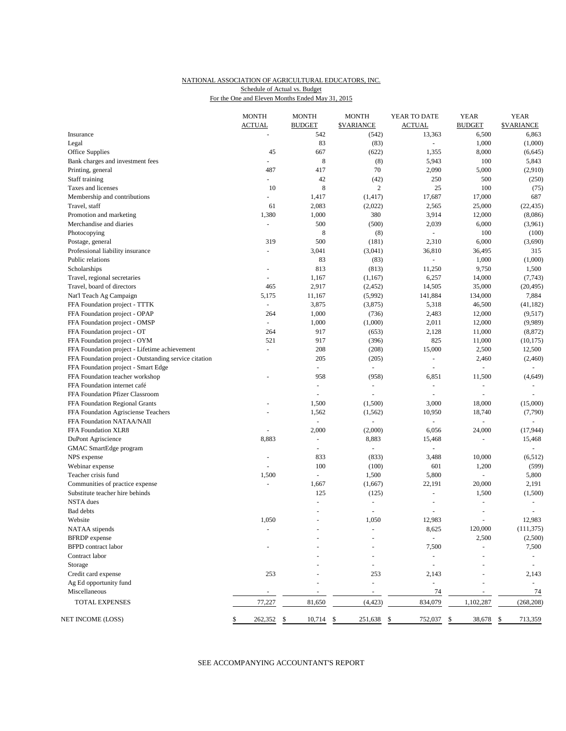#### NATIONAL ASSOCIATION OF AGRICULTURAL EDUCATORS, INC. For the One and Eleven Months Ended May 31, 2015 Schedule of Actual vs. Budget

|                                                       | <b>MONTH</b>             | <b>MONTH</b>             | <b>MONTH</b>             | YEAR TO DATE             | <b>YEAR</b>              | <b>YEAR</b>              |
|-------------------------------------------------------|--------------------------|--------------------------|--------------------------|--------------------------|--------------------------|--------------------------|
|                                                       | <b>ACTUAL</b>            | <b>BUDGET</b>            | <b><i>SVARIANCE</i></b>  | <b>ACTUAL</b>            | <b>BUDGET</b>            | <b>SVARIANCE</b>         |
| Insurance                                             |                          | 542                      | (542)                    | 13,363                   | 6,500                    | 6,863                    |
| Legal                                                 |                          | 83                       | (83)                     | $\equiv$                 | 1,000                    | (1,000)                  |
| Office Supplies                                       | 45                       | 667                      | (622)                    | 1,355                    | 8,000                    | (6,645)                  |
| Bank charges and investment fees                      | -                        | 8                        | (8)                      | 5,943                    | 100                      | 5,843                    |
| Printing, general                                     | 487                      | 417                      | 70                       | 2,090                    | 5,000                    | (2,910)                  |
| Staff training                                        | $\blacksquare$           | 42                       | (42)                     | 250                      | 500                      | (250)                    |
| Taxes and licenses                                    | 10                       | $\,$ 8 $\,$              | $\sqrt{2}$               | 25                       | 100                      | (75)                     |
| Membership and contributions                          | $\blacksquare$           | 1,417                    | (1, 417)                 | 17,687                   | 17,000                   | 687                      |
| Travel, staff                                         | 61                       | 2,083                    | (2,022)                  | 2,565                    | 25,000                   | (22, 435)                |
| Promotion and marketing                               | 1,380                    | 1,000                    | 380                      | 3,914                    | 12,000                   | (8,086)                  |
| Merchandise and diaries                               | $\overline{\phantom{a}}$ | 500                      | (500)                    | 2,039                    | 6,000                    | (3,961)                  |
| Photocopying                                          |                          | 8                        | (8)                      | $\blacksquare$           | 100                      | (100)                    |
| Postage, general                                      | 319                      | 500                      | (181)                    | 2,310                    | 6,000                    | (3,690)                  |
| Professional liability insurance                      | $\sim$                   | 3,041                    | (3,041)                  | 36,810                   | 36,495                   | 315                      |
| Public relations                                      |                          | 83                       | (83)                     | $\mathcal{L}$            | 1,000                    | (1,000)                  |
| Scholarships                                          | $\blacksquare$           | 813                      | (813)                    | 11,250                   | 9,750                    | 1,500                    |
| Travel, regional secretaries                          | $\overline{\phantom{a}}$ | 1,167                    | (1,167)                  | 6,257                    | 14,000                   | (7,743)                  |
| Travel, board of directors                            | 465                      | 2,917                    | (2, 452)                 | 14,505                   | 35,000                   | (20, 495)                |
| Nat'l Teach Ag Campaign                               | 5,175                    | 11,167                   | (5,992)                  | 141,884                  | 134,000                  | 7,884                    |
| FFA Foundation project - TTTK                         | ÷                        | 3,875                    | (3,875)                  | 5,318                    | 46,500                   | (41, 182)                |
| FFA Foundation project - OPAP                         | 264                      | 1,000                    | (736)                    | 2,483                    | 12,000                   | (9,517)                  |
| FFA Foundation project - OMSP                         | $\blacksquare$           | 1,000                    | (1,000)                  | 2,011                    | 12,000                   | (9,989)                  |
| FFA Foundation project - OT                           | 264                      | 917                      | (653)                    | 2,128                    | 11,000                   | (8, 872)                 |
| FFA Foundation project - OYM                          | 521                      | 917                      | (396)                    | 825                      | 11,000                   | (10, 175)                |
| FFA Foundation project - Lifetime achievement         | $\overline{\phantom{a}}$ | 208                      | (208)                    | 15,000                   | 2,500                    | 12,500                   |
| FFA Foundation project - Outstanding service citation |                          | 205                      | (205)                    | $\equiv$                 | 2,460                    | (2,460)                  |
| FFA Foundation project - Smart Edge                   |                          | $\overline{\phantom{a}}$ | $\omega$                 | ÷,                       | $\Box$                   | $\overline{\phantom{a}}$ |
| FFA Foundation teacher workshop                       |                          | 958                      | (958)                    | 6,851                    | 11,500                   | (4,649)                  |
| FFA Foundation internet café                          |                          | ÷,                       | $\overline{\phantom{a}}$ | $\overline{\phantom{a}}$ | ÷,                       | $\sim$                   |
| FFA Foundation Pfizer Classroom                       |                          |                          |                          | ÷,                       | $\overline{\phantom{a}}$ |                          |
|                                                       |                          | 1,500                    | (1,500)                  | 3,000                    | 18,000                   |                          |
| FFA Foundation Regional Grants                        |                          |                          |                          |                          |                          | (15,000)                 |
| FFA Foundation Agrisciense Teachers                   |                          | 1,562                    | (1, 562)                 | 10,950                   | 18,740                   | (7,790)                  |
| FFA Foundation NATAA/NAII                             |                          | $\sim$                   | L.                       | $\sim$                   | $\overline{\phantom{a}}$ | $\sim$                   |
| FFA Foundation XLR8                                   |                          | 2,000                    | (2,000)                  | 6,056                    | 24,000                   | (17, 944)                |
| DuPont Agriscience                                    | 8,883                    | $\blacksquare$           | 8,883                    | 15,468                   | ÷,                       | 15,468                   |
| GMAC SmartEdge program                                |                          | $\overline{\phantom{a}}$ | ÷.                       | $\bar{\phantom{a}}$      |                          |                          |
| NPS expense                                           | $\overline{\phantom{a}}$ | 833                      | (833)                    | 3,488                    | 10,000                   | (6,512)                  |
| Webinar expense                                       |                          | 100                      | (100)                    | 601                      | 1,200                    | (599)                    |
| Teacher crisis fund                                   | 1,500                    | $\Box$                   | 1,500                    | 5,800                    | ÷,                       | 5,800                    |
| Communities of practice expense                       | $\Box$                   | 1,667                    | (1,667)                  | 22,191                   | 20,000                   | 2,191                    |
| Substitute teacher hire behinds                       |                          | 125                      | (125)                    | $\overline{a}$           | 1,500                    | (1,500)                  |
| <b>NSTA</b> dues                                      |                          | ÷,                       | $\overline{\phantom{a}}$ | L,                       | ÷,                       |                          |
| Bad debts                                             |                          | $\blacksquare$           | ÷,                       | $\overline{a}$           | ÷,                       |                          |
| Website                                               | 1,050                    | ÷,                       | 1,050                    | 12,983                   | $\sim$                   | 12,983                   |
| NATAA stipends                                        |                          |                          |                          | 8,625                    | 120,000                  | (111, 375)               |
| <b>BFRDP</b> expense                                  |                          |                          |                          |                          | 2,500                    | (2,500)                  |
| <b>BFPD</b> contract labor                            |                          |                          |                          | 7,500                    |                          | 7,500                    |
| Contract labor                                        |                          |                          |                          |                          |                          |                          |
| Storage                                               |                          |                          |                          | $\blacksquare$           |                          | $\sim$                   |
| Credit card expense                                   | 253                      |                          | 253                      | 2,143                    |                          | 2,143                    |
| Ag Ed opportunity fund                                |                          |                          | L,                       | ÷,                       |                          |                          |
| Miscellaneous                                         |                          |                          | $\blacksquare$           | 74                       |                          | 74                       |
| <b>TOTAL EXPENSES</b>                                 | 77,227                   | 81,650                   | (4, 423)                 | 834,079                  | 1,102,287                | (268, 208)               |
| NET INCOME (LOSS)                                     | 262,352                  | 10,714<br>\$             | 251,638<br>\$            | 752,037<br>\$            | 38,678<br>\$             | 713,359<br>\$            |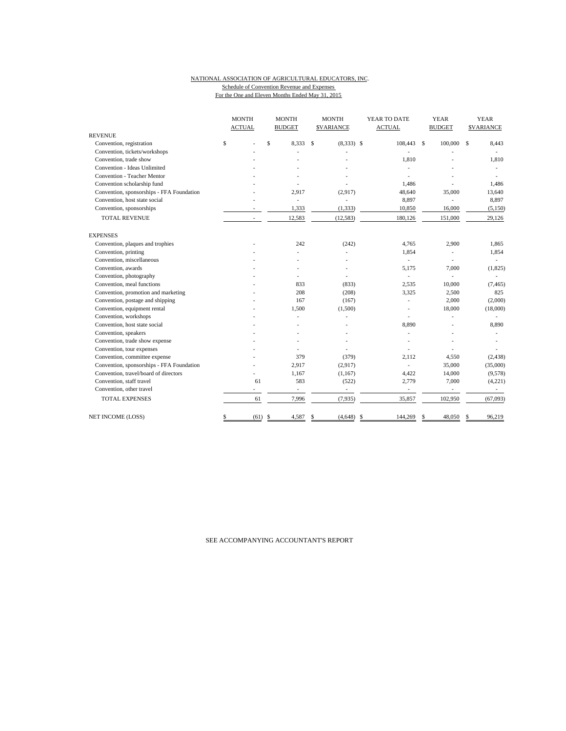#### NATIONAL ASSOCIATION OF AGRICULTURAL EDUCATORS, INC. Schedule of Convention Revenue and Expenses For the One and Eleven Months Ended May 31, 2015

|                                           | <b>MONTH</b>  | <b>MONTH</b><br><b>MONTH</b><br>YEAR TO DATE |                   | <b>YEAR</b>              | <b>YEAR</b>              |                  |  |
|-------------------------------------------|---------------|----------------------------------------------|-------------------|--------------------------|--------------------------|------------------|--|
|                                           | <b>ACTUAL</b> | <b>BUDGET</b>                                | <b>SVARIANCE</b>  | <b>ACTUAL</b>            | <b>BUDGET</b>            | <b>SVARIANCE</b> |  |
| <b>REVENUE</b>                            |               |                                              |                   |                          |                          |                  |  |
| Convention, registration                  | \$            | $\mathsf{\$}$<br>8.333                       | S<br>$(8,333)$ \$ | 108,443 \$               | 100,000                  | 8,443<br>\$      |  |
| Convention, tickets/workshops             |               |                                              |                   |                          |                          |                  |  |
| Convention, trade show                    |               |                                              |                   | 1,810                    |                          | 1,810            |  |
| Convention - Ideas Unlimited              |               |                                              |                   |                          |                          | ٠                |  |
| Convention - Teacher Mentor               |               |                                              |                   |                          |                          |                  |  |
| Convention scholarship fund               |               |                                              |                   | 1,486                    |                          | 1,486            |  |
| Convention, sponsorships - FFA Foundation |               | 2,917                                        | (2,917)           | 48,640                   | 35,000                   | 13,640           |  |
| Convention, host state social             |               | ÷.                                           | ä,                | 8,897                    |                          | 8,897            |  |
| Convention, sponsorships                  |               | 1,333                                        | (1, 333)          | 10,850                   | 16,000                   | (5, 150)         |  |
| <b>TOTAL REVENUE</b>                      | ä,            | 12,583                                       | (12, 583)         | 180,126                  | 151,000                  | 29,126           |  |
| <b>EXPENSES</b>                           |               |                                              |                   |                          |                          |                  |  |
| Convention, plaques and trophies          |               | 242                                          | (242)             | 4,765                    | 2,900                    | 1,865            |  |
| Convention, printing                      |               |                                              |                   | 1,854                    | ÷,                       | 1,854            |  |
| Convention, miscellaneous                 |               |                                              |                   | ÷.                       |                          | ٠                |  |
| Convention, awards                        |               |                                              |                   | 5.175                    | 7,000                    | (1,825)          |  |
| Convention, photography                   |               |                                              |                   | ٠                        | ÷,                       |                  |  |
| Convention, meal functions                |               | 833                                          | (833)             | 2,535                    | 10,000                   | (7, 465)         |  |
| Convention, promotion and marketing       |               | 208                                          | (208)             | 3,325                    | 2,500                    | 825              |  |
| Convention, postage and shipping          |               | 167                                          | (167)             |                          | 2,000                    | (2,000)          |  |
| Convention, equipment rental              |               | 1,500                                        | (1,500)           |                          | 18,000                   | (18,000)         |  |
| Convention, workshops                     |               |                                              |                   |                          |                          |                  |  |
| Convention, host state social             |               |                                              |                   | 8,890                    |                          | 8,890            |  |
| Convention, speakers                      |               |                                              |                   |                          |                          |                  |  |
| Convention, trade show expense            |               |                                              |                   |                          |                          |                  |  |
| Convention, tour expenses                 |               |                                              |                   |                          |                          |                  |  |
| Convention, committee expense             |               | 379                                          | (379)             | 2.112                    | 4,550                    | (2, 438)         |  |
| Convention, sponsorships - FFA Foundation |               | 2,917                                        | (2,917)           |                          | 35,000                   | (35,000)         |  |
| Convention, travel/board of directors     |               | 1,167                                        | (1,167)           | 4,422                    | 14,000                   | (9,578)          |  |
| Convention, staff travel                  | 61            | 583                                          | (522)             | 2,779                    | 7,000                    | (4,221)          |  |
| Convention, other travel                  | ä,            | $\overline{\phantom{a}}$                     | ÷.                | $\overline{\phantom{a}}$ | $\overline{\phantom{a}}$ |                  |  |
| <b>TOTAL EXPENSES</b>                     | 61            | 7,996                                        | (7,935)           | 35,857                   | 102,950                  | (67,093)         |  |
| NET INCOME (LOSS)                         | (61)<br>\$    | 4,587<br>-S                                  | (4,648)<br>\$     | \$<br>144,269            | 48,050<br>\$             | 96,219<br>S      |  |